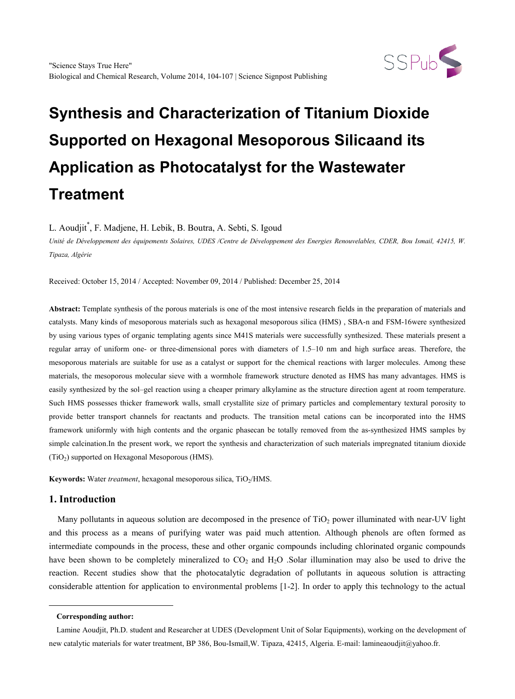

# **Synthesis and Characterization of Titanium Dioxide Supported on Hexagonal Mesoporous Silicaand its Application as Photocatalyst for the Wastewater Treatment**

L. Aoudjit\* , F. Madjene, H. Lebik, B. Boutra, A. Sebti, S. Igoud

*Unité de Développement des équipements Solaires, UDES /Centre de Développement des Energies Renouvelables, CDER, Bou Ismail, 42415, W. Tipaza, Algérie*

Received: October 15, 2014 / Accepted: November 09, 2014 / Published: December 25, 2014

**Abstract:** Template synthesis of the porous materials is one of the most intensive research fields in the preparation of materials and catalysts. Many kinds of mesoporous materials such as hexagonal mesoporous silica (HMS) , SBA-n and FSM-16were synthesized by using various types of organic templating agents since M41S materials were successfully synthesized. These materials present a regular array of uniform one- or three-dimensional pores with diameters of 1.5–10 nm and high surface areas. Therefore, the mesoporous materials are suitable for use as a catalyst or support for the chemical reactions with larger molecules. Among these materials, the mesoporous molecular sieve with a wormhole framework structure denoted as HMS has many advantages. HMS is easily synthesized by the sol–gel reaction using a cheaper primary alkylamine as the structure direction agent at room temperature. Such HMS possesses thicker framework walls, small crystallite size of primary particles and complementary textural porosity to provide better transport channels for reactants and products. The transition metal cations can be incorporated into the HMS framework uniformly with high contents and the organic phasecan be totally removed from the as-synthesized HMS samples by simple calcination.In the present work, we report the synthesis and characterization of such materials impregnated titanium dioxide  $(TiO<sub>2</sub>)$  supported on Hexagonal Mesoporous (HMS).

**Keywords:** Water *treatment*, hexagonal mesoporous silica, TiO<sub>2</sub>/HMS.

## **1. Introduction**

Many pollutants in aqueous solution are decomposed in the presence of  $TiO<sub>2</sub>$  power illuminated with near-UV light and this process as a means of purifying water was paid much attention. Although phenols are often formed as intermediate compounds in the process, these and other organic compounds including chlorinated organic compounds have been shown to be completely mineralized to  $CO_2$  and  $H_2O$  . Solar illumination may also be used to drive the reaction. Recent studies show that the photocatalytic degradation of pollutants in aqueous solution is attracting considerable attention for application to environmental problems [1-2]. In order to apply this technology to the actual

<span id="page-0-0"></span>-

**Corresponding author:**

Lamine Aoudjit, Ph.D. student and Researcher at UDES (Development Unit of Solar Equipments), working on the development of new catalytic materials for water treatment, BP 386, Bou-Ismaïl,W. Tipaza, 42415, Algeria. E-mail: lamineaoudjit@yahoo.fr.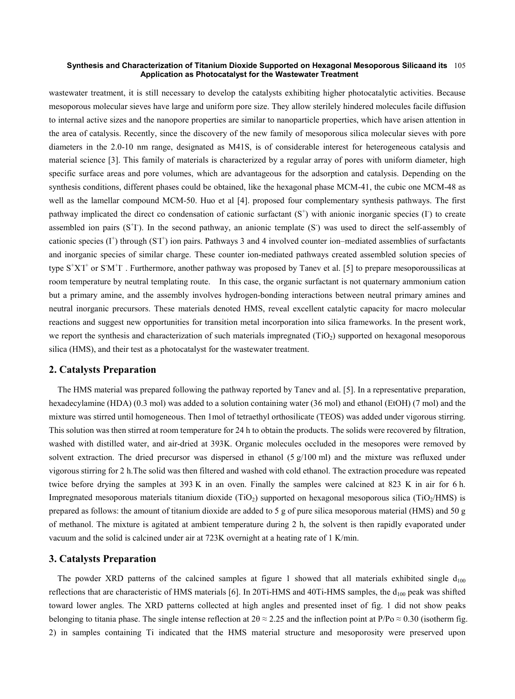#### **Synthesis and Characterization of Titanium Dioxide Supported on Hexagonal Mesoporous Silicaand its**  105 **Application as Photocatalyst for the Wastewater Treatment**

wastewater treatment, it is still necessary to develop the catalysts exhibiting higher photocatalytic activities. Because mesoporous molecular sieves have large and uniform pore size. They allow sterilely hindered molecules facile diffusion to internal active sizes and the nanopore properties are similar to nanoparticle properties, which have arisen attention in the area of catalysis. Recently, since the discovery of the new family of mesoporous silica molecular sieves with pore diameters in the 2.0-10 nm range, designated as M41S, is of considerable interest for heterogeneous catalysis and material science [3]. This family of materials is characterized by a regular array of pores with uniform diameter, high specific surface areas and pore volumes, which are advantageous for the adsorption and catalysis. Depending on the synthesis conditions, different phases could be obtained, like the hexagonal phase MCM-41, the cubic one MCM-48 as well as the lamellar compound MCM-50. Huo et al [4]. proposed four complementary synthesis pathways. The first pathway implicated the direct co condensation of cationic surfactant  $(S<sup>+</sup>)$  with anionic inorganic species ( $\Gamma$ ) to create assembled ion pairs (S<sup>+</sup>I). In the second pathway, an anionic template (S<sup>-</sup>) was used to direct the self-assembly of cationic species  $(I^+)$  through  $(SI^+)$  ion pairs. Pathways 3 and 4 involved counter ion–mediated assemblies of surfactants and inorganic species of similar charge. These counter ion-mediated pathways created assembled solution species of type  $S^+XT^+$  or  $S'M^+T$ . Furthermore, another pathway was proposed by Tanev et al. [5] to prepare mesoporoussilicas at room temperature by neutral templating route. In this case, the organic surfactant is not quaternary ammonium cation but a primary amine, and the assembly involves hydrogen-bonding interactions between neutral primary amines and neutral inorganic precursors. These materials denoted HMS, reveal excellent catalytic capacity for macro molecular reactions and suggest new opportunities for transition metal incorporation into silica frameworks. In the present work, we report the synthesis and characterization of such materials impregnated ( $TiO<sub>2</sub>$ ) supported on hexagonal mesoporous silica (HMS), and their test as a photocatalyst for the wastewater treatment.

### **2. Catalysts Preparation**

The HMS material was prepared following the pathway reported by Tanev and al. [5]. In a representative preparation, hexadecylamine (HDA) (0.3 mol) was added to a solution containing water (36 mol) and ethanol (EtOH) (7 mol) and the mixture was stirred until homogeneous. Then 1mol of tetraethyl orthosilicate (TEOS) was added under vigorous stirring. This solution was then stirred at room temperature for 24 h to obtain the products. The solids were recovered by filtration, washed with distilled water, and air-dried at 393K. Organic molecules occluded in the mesopores were removed by solvent extraction. The dried precursor was dispersed in ethanol  $(5 \text{ g}/100 \text{ ml})$  and the mixture was refluxed under vigorous stirring for 2 h.The solid was then filtered and washed with cold ethanol. The extraction procedure was repeated twice before drying the samples at 393 K in an oven. Finally the samples were calcined at 823 K in air for 6 h. Impregnated mesoporous materials titanium dioxide (TiO<sub>2</sub>) supported on hexagonal mesoporous silica (TiO<sub>2</sub>/HMS) is prepared as follows: the amount of titanium dioxide are added to 5 g of pure silica mesoporous material (HMS) and 50 g of methanol. The mixture is agitated at ambient temperature during 2 h, the solvent is then rapidly evaporated under vacuum and the solid is calcined under air at 723K overnight at a heating rate of 1 K/min.

### **3. Catalysts Preparation**

The powder XRD patterns of the calcined samples at figure 1 showed that all materials exhibited single  $d_{100}$ reflections that are characteristic of HMS materials [6]. In 20Ti-HMS and 40Ti-HMS samples, the  $d_{100}$  peak was shifted toward lower angles. The XRD patterns collected at high angles and presented inset of fig. 1 did not show peaks belonging to titania phase. The single intense reflection at  $2\theta \approx 2.25$  and the inflection point at P/Po  $\approx 0.30$  (isotherm fig. 2) in samples containing Ti indicated that the HMS material structure and mesoporosity were preserved upon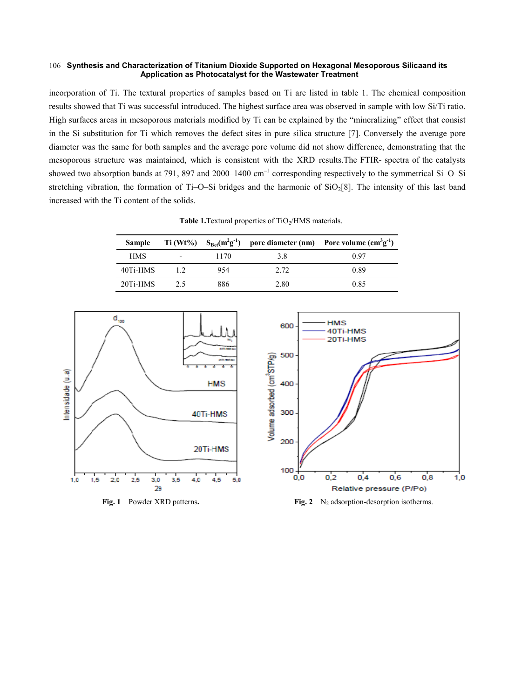#### **Synthesis and Characterization of Titanium Dioxide Supported on Hexagonal Mesoporous Silicaand its**  106 **Application as Photocatalyst for the Wastewater Treatment**

incorporation of Ti. The textural properties of samples based on Ti are listed in table 1. The chemical composition results showed that Ti was successful introduced. The highest surface area was observed in sample with low Si/Ti ratio. High surfaces areas in mesoporous materials modified by Ti can be explained by the "mineralizing" effect that consist in the Si substitution for Ti which removes the defect sites in pure silica structure [7]. Conversely the average pore diameter was the same for both samples and the average pore volume did not show difference, demonstrating that the mesoporous structure was maintained, which is consistent with the XRD results.The FTIR- spectra of the catalysts showed two absorption bands at 791, 897 and 2000–1400  $cm^{-1}$  corresponding respectively to the symmetrical Si–O–Si stretching vibration, the formation of Ti–O–Si bridges and the harmonic of  $SiO<sub>2</sub>[8]$ . The intensity of this last band increased with the Ti content of the solids.

**Table 1.**Textural properties of TiO<sub>2</sub>/HMS materials.

| <b>Sample</b> |                          |      |      | Ti (Wt%) $S_{Bet}(m^2g^{-1})$ pore diameter (nm) Pore volume (cm <sup>3</sup> g <sup>-1</sup> ) |
|---------------|--------------------------|------|------|-------------------------------------------------------------------------------------------------|
| <b>HMS</b>    | $\overline{\phantom{0}}$ | 1170 | 38   | 0.97                                                                                            |
| 40Ti-HMS      | 12                       | 954  | 2.72 | 0.89                                                                                            |
| 20Ti-HMS      | 25                       | 886  | 2.80 | 0.85                                                                                            |